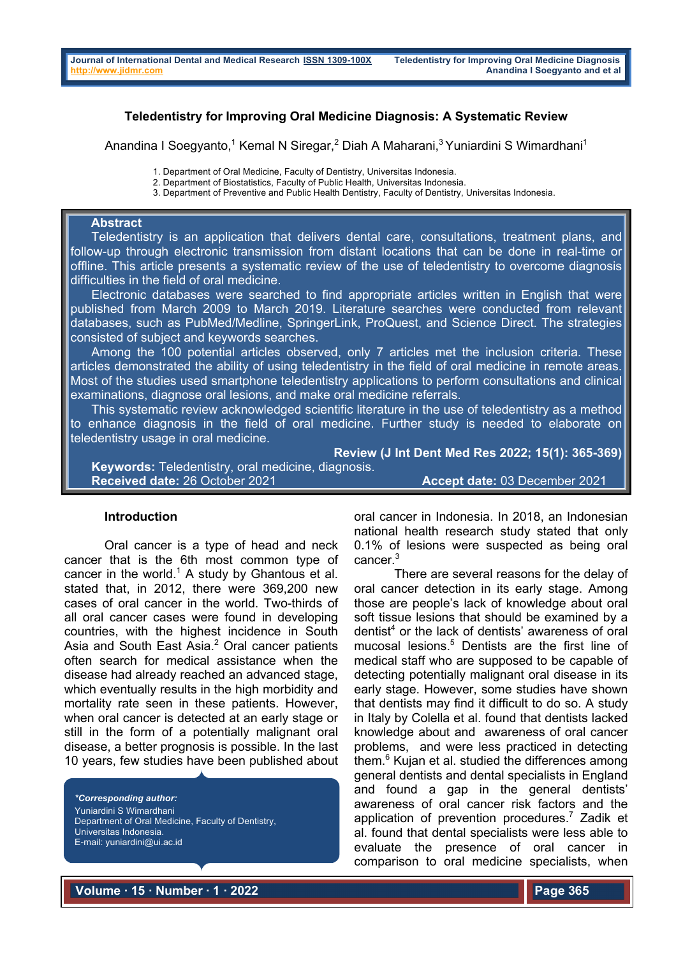# **Teledentistry for Improving Oral Medicine Diagnosis: A Systematic Review**

Anandina I Soegyanto,<sup>1</sup> Kemal N Siregar,<sup>2</sup> Diah A Maharani,<sup>3</sup> Yuniardini S Wimardhani<sup>1</sup>

1. Department of Oral Medicine, Faculty of Dentistry, Universitas Indonesia.

2. Department of Biostatistics, Faculty of Public Health, Universitas Indonesia.

3. Department of Preventive and Public Health Dentistry, Faculty of Dentistry, Universitas Indonesia.

### **Abstract**

 Teledentistry is an application that delivers dental care, consultations, treatment plans, and follow-up through electronic transmission from distant locations that can be done in real-time or offline. This article presents a systematic review of the use of teledentistry to overcome diagnosis difficulties in the field of oral medicine.

 Electronic databases were searched to find appropriate articles written in English that were published from March 2009 to March 2019. Literature searches were conducted from relevant databases, such as PubMed/Medline, SpringerLink, ProQuest, and Science Direct. The strategies consisted of subject and keywords searches.

 Among the 100 potential articles observed, only 7 articles met the inclusion criteria. These articles demonstrated the ability of using teledentistry in the field of oral medicine in remote areas. Most of the studies used smartphone teledentistry applications to perform consultations and clinical examinations, diagnose oral lesions, and make oral medicine referrals.

This systematic review acknowledged scientific literature in the use of teledentistry as a method to enhance diagnosis in the field of oral medicine. Further study is needed to elaborate on teledentistry usage in oral medicine.

**Review (J Int Dent Med Res 2022; 15(1): 365-369) Keywords:** Teledentistry, oral medicine, diagnosis. **Received date:** 26 October 2021 **Accept date:** 03 December 2021

### **Introduction**

Oral cancer is a type of head and neck cancer that is the 6th most common type of cancer in the world.<sup>1</sup> A study by Ghantous et al. stated that, in 2012, there were 369,200 new cases of oral cancer in the world. Two-thirds of all oral cancer cases were found in developing countries, with the highest incidence in South Asia and South East Asia.<sup>2</sup> Oral cancer patients often search for medical assistance when the disease had already reached an advanced stage, which eventually results in the high morbidity and mortality rate seen in these patients. However, when oral cancer is detected at an early stage or still in the form of a potentially malignant oral disease, a better prognosis is possible. In the last 10 years, few studies have been published about

*\*Corresponding author:* Yuniardini S Wimardhani Department of Oral Medicine, Faculty of Dentistry, Universitas Indonesia. E-mail: yuniardini@ui.ac.id

oral cancer in Indonesia. In 2018, an Indonesian national health research study stated that only 0.1% of lesions were suspected as being oral cancer. 3

There are several reasons for the delay of oral cancer detection in its early stage. Among those are people's lack of knowledge about oral soft tissue lesions that should be examined by a dentist<sup>4</sup> or the lack of dentists' awareness of oral mucosal lesions.<sup>5</sup> Dentists are the first line of medical staff who are supposed to be capable of detecting potentially malignant oral disease in its early stage. However, some studies have shown that dentists may find it difficult to do so. A study in Italy by Colella et al. found that dentists lacked knowledge about and awareness of oral cancer problems, and were less practiced in detecting them. <sup>6</sup> Kujan et al. studied the differences among general dentists and dental specialists in England and found a gap in the general dentists' awareness of oral cancer risk factors and the application of prevention procedures.7 Zadik et al. found that dental specialists were less able to evaluate the presence of oral cancer in comparison to oral medicine specialists, when

**Volume ∙ 15 ∙ Number ∙ 1 ∙ 2022**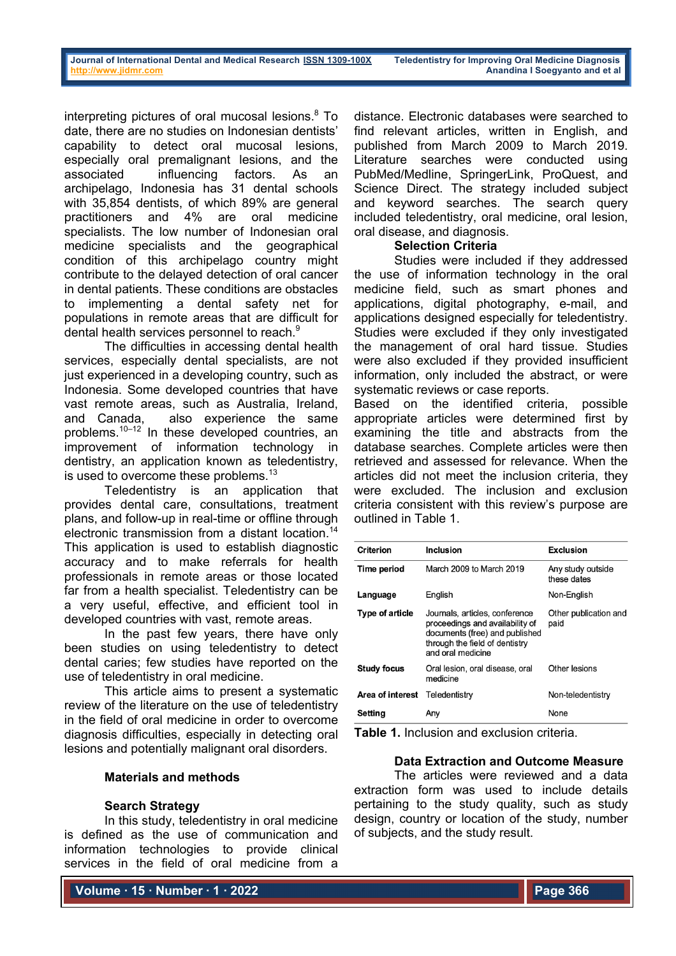interpreting pictures of oral mucosal lesions. <sup>8</sup> To date, there are no studies on Indonesian dentists' capability to detect oral mucosal lesions, especially oral premalignant lesions, and the associated influencing factors. As an archipelago, Indonesia has 31 dental schools with 35,854 dentists, of which 89% are general practitioners and 4% are oral medicine specialists. The low number of Indonesian oral medicine specialists and the geographical condition of this archipelago country might contribute to the delayed detection of oral cancer in dental patients. These conditions are obstacles to implementing a dental safety net for populations in remote areas that are difficult for dental health services personnel to reach. $^9$ 

The difficulties in accessing dental health services, especially dental specialists, are not just experienced in a developing country, such as Indonesia. Some developed countries that have vast remote areas, such as Australia, Ireland, and Canada, also experience the same problems.10–12 In these developed countries, an improvement of information technology in dentistry, an application known as teledentistry, is used to overcome these problems.<sup>13</sup>

Teledentistry is an application that provides dental care, consultations, treatment plans, and follow-up in real-time or offline through electronic transmission from a distant location.<sup>14</sup> This application is used to establish diagnostic accuracy and to make referrals for health professionals in remote areas or those located far from a health specialist. Teledentistry can be a very useful, effective, and efficient tool in developed countries with vast, remote areas.

In the past few years, there have only been studies on using teledentistry to detect dental caries; few studies have reported on the use of teledentistry in oral medicine.

This article aims to present a systematic review of the literature on the use of teledentistry in the field of oral medicine in order to overcome diagnosis difficulties, especially in detecting oral lesions and potentially malignant oral disorders.

# **Materials and methods**

# **Search Strategy**

In this study, teledentistry in oral medicine is defined as the use of communication and information technologies to provide clinical services in the field of oral medicine from a

**Volume ∙ 15 ∙ Number ∙ 1 ∙ 2022**

distance. Electronic databases were searched to find relevant articles, written in English, and published from March 2009 to March 2019. Literature searches were conducted using PubMed/Medline, SpringerLink, ProQuest, and Science Direct. The strategy included subject and keyword searches. The search query included teledentistry, oral medicine, oral lesion, oral disease, and diagnosis.

# **Selection Criteria**

Studies were included if they addressed the use of information technology in the oral medicine field, such as smart phones and applications, digital photography, e-mail, and applications designed especially for teledentistry. Studies were excluded if they only investigated the management of oral hard tissue. Studies were also excluded if they provided insufficient information, only included the abstract, or were systematic reviews or case reports.

Based on the identified criteria, possible appropriate articles were determined first by examining the title and abstracts from the database searches. Complete articles were then retrieved and assessed for relevance. When the articles did not meet the inclusion criteria, they were excluded. The inclusion and exclusion criteria consistent with this review's purpose are outlined in Table 1.

| <b>Criterion</b>   | <b>Inclusion</b>                                                                                                                                           | <b>Exclusion</b>                 |  |
|--------------------|------------------------------------------------------------------------------------------------------------------------------------------------------------|----------------------------------|--|
| Time period        | March 2009 to March 2019                                                                                                                                   | Any study outside<br>these dates |  |
| Language           | English                                                                                                                                                    | Non-English                      |  |
| Type of article    | Journals, articles, conference<br>proceedings and availability of<br>documents (free) and published<br>through the field of dentistry<br>and oral medicine | Other publication and<br>paid    |  |
| <b>Study focus</b> | Oral lesion, oral disease, oral<br>medicine                                                                                                                | Other lesions                    |  |
| Area of interest   | Teledentistry                                                                                                                                              | Non-teledentistry                |  |
| Setting            | Any                                                                                                                                                        | None                             |  |

**Table 1.** Inclusion and exclusion criteria.

# **Data Extraction and Outcome Measure**

The articles were reviewed and a data extraction form was used to include details pertaining to the study quality, such as study design, country or location of the study, number of subjects, and the study result.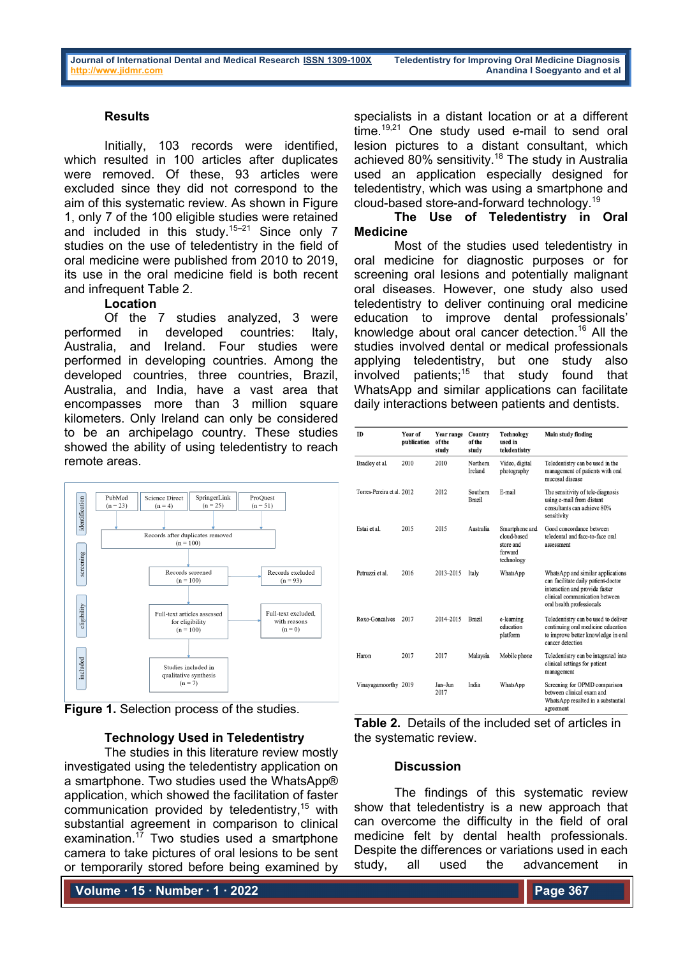### **Results**

Initially, 103 records were identified, which resulted in 100 articles after duplicates were removed. Of these, 93 articles were excluded since they did not correspond to the aim of this systematic review. As shown in Figure 1, only 7 of the 100 eligible studies were retained and included in this study.<sup>15–21</sup> Since only 7 studies on the use of teledentistry in the field of oral medicine were published from 2010 to 2019, its use in the oral medicine field is both recent and infrequent Table 2.

# **Location**

Of the 7 studies analyzed, 3 were performed in developed countries: Italy, Australia, and Ireland. Four studies were performed in developing countries. Among the developed countries, three countries, Brazil, Australia, and India, have a vast area that encompasses more than 3 million square kilometers. Only Ireland can only be considered to be an archipelago country. These studies showed the ability of using teledentistry to reach remote areas.



**Figure 1.** Selection process of the studies.

#### **Technology Used in Teledentistry**

The studies in this literature review mostly investigated using the teledentistry application on a smartphone. Two studies used the WhatsApp® application, which showed the facilitation of faster communication provided by teledentistry,  $15$  with substantial agreement in comparison to clinical examination.<sup>17</sup> Two studies used a smartphone camera to take pictures of oral lesions to be sent or temporarily stored before being examined by

**Volume ∙ 15 ∙ Number ∙ 1 ∙ 2022**

specialists in a distant location or at a different time.<sup>19,21</sup> One study used e-mail to send oral lesion pictures to a distant consultant, which achieved 80% sensitivity.18 The study in Australia used an application especially designed for teledentistry, which was using a smartphone and cloud-based store-and-forward technology.<sup>19</sup>

## **The Use of Teledentistry in Oral Medicine**

Most of the studies used teledentistry in oral medicine for diagnostic purposes or for screening oral lesions and potentially malignant oral diseases. However, one study also used teledentistry to deliver continuing oral medicine education to improve dental professionals' knowledge about oral cancer detection.16 All the studies involved dental or medical professionals applying teledentistry, but one study also involved patients;<sup>15</sup> that study found that WhatsApp and similar applications can facilitate daily interactions between patients and dentists.

| <b>ID</b>                  | <b>Year of</b><br>publication | Year range<br>of the<br>study | Country<br>of the<br>study | Technology<br>used in<br>teledentistry                              | Main study finding                                                                                                                                                        |
|----------------------------|-------------------------------|-------------------------------|----------------------------|---------------------------------------------------------------------|---------------------------------------------------------------------------------------------------------------------------------------------------------------------------|
| Bradley et al.             | 2010                          | 2010                          | Northern<br><b>Ireland</b> | Video, digital<br>photography                                       | Teledentistry can be used in the<br>management of patients with oral<br>mucosal disease                                                                                   |
| Torres-Pereira et al. 2012 |                               | 2012                          | Southern<br><b>Brazil</b>  | E-mail                                                              | The sensitivity of tele-diagnosis<br>using e-mail from distant<br>consultants can achieve 80%<br>sensitivity                                                              |
| Estai et al.               | 2015                          | 2015                          | Australia                  | Smartphone and<br>cloud-based<br>store and<br>forward<br>technology | Good concordance between<br>teledental and face-to-face oral<br>assessment                                                                                                |
| Petruzzi et al.            | 2016                          | 2013-2015                     | Italy                      | WhatsApp                                                            | WhatsApp and similar applications<br>can facilitate daily patient-doctor<br>interaction and provide faster<br>clinical communication between<br>oral health professionals |
| Roxo-Goncalves             | 2017                          | 2014-2015                     | <b>Brazil</b>              | e-learning<br>education<br>platform                                 | Teledentistry can be used to deliver<br>continuing oral medicine education<br>to improve better knowledge in oral<br>cancer detection                                     |
| Haron                      | 2017                          | 2017                          | Malaysia                   | Mobile phone                                                        | Teledentistry can be integrated into<br>clinical settings for patient<br>management                                                                                       |
| Vinayagamoorthy 2019       |                               | Jan-Jun<br>2017               | India                      | WhatsApp                                                            | Screening for OPMD comparison<br>between clinical exam and<br>WhatsApp resulted in a substantial                                                                          |

**Table 2.** Details of the included set of articles in the systematic review.

## **Discussion**

The findings of this systematic review show that teledentistry is a new approach that can overcome the difficulty in the field of oral medicine felt by dental health professionals. Despite the differences or variations used in each study, all used the advancement in

agreement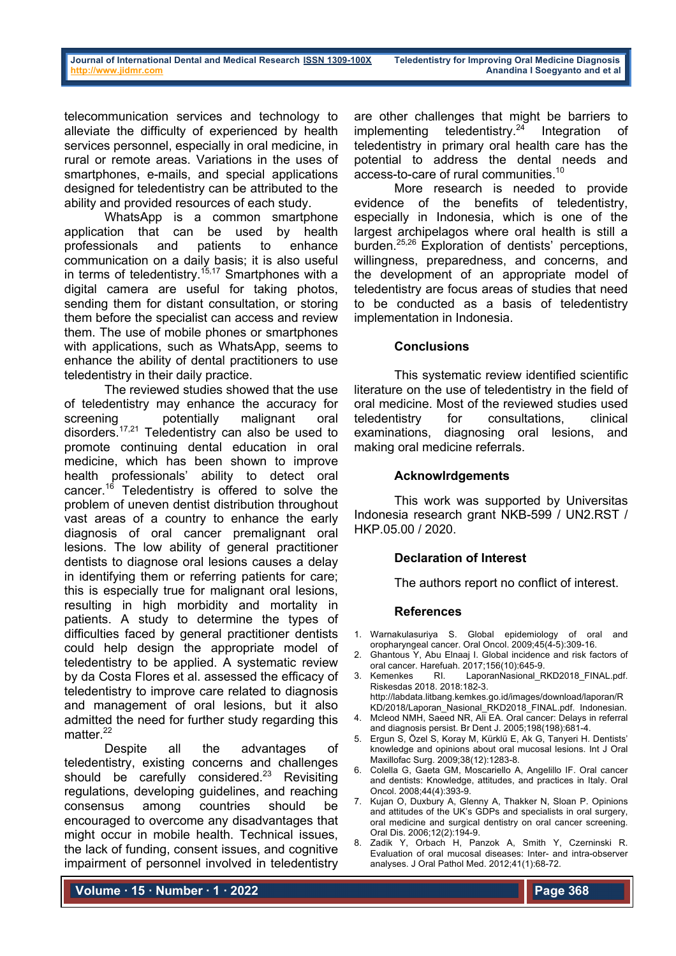telecommunication services and technology to alleviate the difficulty of experienced by health services personnel, especially in oral medicine, in rural or remote areas. Variations in the uses of smartphones, e-mails, and special applications designed for teledentistry can be attributed to the ability and provided resources of each study.

WhatsApp is a common smartphone application that can be used by health professionals and patients to enhance communication on a daily basis; it is also useful in terms of teledentistry.<sup>15,17</sup> Smartphones with a digital camera are useful for taking photos, sending them for distant consultation, or storing them before the specialist can access and review them. The use of mobile phones or smartphones with applications, such as WhatsApp, seems to enhance the ability of dental practitioners to use teledentistry in their daily practice.

The reviewed studies showed that the use of teledentistry may enhance the accuracy for screening potentially malignant oral disorders.<sup>17,21</sup> Teledentistry can also be used to promote continuing dental education in oral medicine, which has been shown to improve health professionals' ability to detect oral cancer.<sup>16</sup> Teledentistry is offered to solve the problem of uneven dentist distribution throughout vast areas of a country to enhance the early diagnosis of oral cancer premalignant oral lesions. The low ability of general practitioner dentists to diagnose oral lesions causes a delay in identifying them or referring patients for care; this is especially true for malignant oral lesions, resulting in high morbidity and mortality in patients. A study to determine the types of difficulties faced by general practitioner dentists could help design the appropriate model of teledentistry to be applied. A systematic review by da Costa Flores et al. assessed the efficacy of teledentistry to improve care related to diagnosis and management of oral lesions, but it also admitted the need for further study regarding this matter.<sup>22</sup>

Despite all the advantages of teledentistry, existing concerns and challenges should be carefully considered.<sup>23</sup> Revisiting regulations, developing guidelines, and reaching consensus among countries should be encouraged to overcome any disadvantages that might occur in mobile health. Technical issues, the lack of funding, consent issues, and cognitive impairment of personnel involved in teledentistry

are other challenges that might be barriers to implementing teledentistry. $24$  Integration of teledentistry in primary oral health care has the potential to address the dental needs and access-to-care of rural communities.10

More research is needed to provide evidence of the benefits of teledentistry, especially in Indonesia, which is one of the largest archipelagos where oral health is still a burden.25,26 Exploration of dentists' perceptions, willingness, preparedness, and concerns, and the development of an appropriate model of teledentistry are focus areas of studies that need to be conducted as a basis of teledentistry implementation in Indonesia.

## **Conclusions**

This systematic review identified scientific literature on the use of teledentistry in the field of oral medicine. Most of the reviewed studies used teledentistry for consultations, clinical examinations, diagnosing oral lesions, and making oral medicine referrals.

### **Acknowlrdgements**

This work was supported by Universitas Indonesia research grant NKB-599 / UN2.RST / HKP.05.00 / 2020.

# **Declaration of Interest**

The authors report no conflict of interest.

### **References**

- 1. Warnakulasuriya S. Global epidemiology of oral and oropharyngeal cancer. Oral Oncol. 2009;45(4-5):309-16.
- 2. Ghantous Y, Abu Elnaaj I. Global incidence and risk factors of oral cancer. Harefuah. 2017;156(10):645-9.<br>Kemenkes RI. LaporanNasional F
- 3. Kemenkes RI. LaporanNasional RKD2018 FINAL.pdf. Riskesdas 2018. 2018:182-3.
	- http://labdata.litbang.kemkes.go.id/images/download/laporan/R KD/2018/Laporan\_Nasional\_RKD2018\_FINAL.pdf. Indonesian.
- 4. Mcleod NMH, Saeed NR, Ali EA. Oral cancer: Delays in referral and diagnosis persist. Br Dent J. 2005;198(198):681-4.
- 5. Ergun S, Özel S, Koray M, Kürklü E, Ak G, Tanyeri H. Dentists' knowledge and opinions about oral mucosal lesions. Int J Oral Maxillofac Surg. 2009;38(12):1283-8.
- 6. Colella G, Gaeta GM, Moscariello A, Angelillo IF. Oral cancer and dentists: Knowledge, attitudes, and practices in Italy. Oral Oncol. 2008;44(4):393-9.
- 7. Kujan O, Duxbury A, Glenny A, Thakker N, Sloan P. Opinions and attitudes of the UK's GDPs and specialists in oral surgery, oral medicine and surgical dentistry on oral cancer screening. Oral Dis. 2006;12(2):194-9.
- 8. Zadik Y, Orbach H, Panzok A, Smith Y, Czerninski R. Evaluation of oral mucosal diseases: Inter- and intra-observer analyses. J Oral Pathol Med. 2012;41(1):68-72.

**Volume ∙ 15 ∙ Number ∙ 1 ∙ 2022**